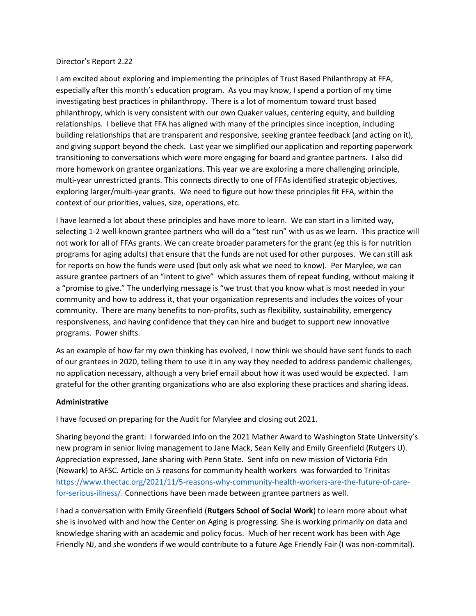## Director's Report 2.22

I am excited about exploring and implementing the principles of Trust Based Philanthropy at FFA, especially after this month's education program. As you may know, I spend a portion of my time investigating best practices in philanthropy. There is a lot of momentum toward trust based philanthropy, which is very consistent with our own Quaker values, centering equity, and building relationships. I believe that FFA has aligned with many of the principles since inception, including building relationships that are transparent and responsive, seeking grantee feedback (and acting on it), and giving support beyond the check. Last year we simplified our application and reporting paperwork transitioning to conversations which were more engaging for board and grantee partners. I also did more homework on grantee organizations. This year we are exploring a more challenging principle, multi-year unrestricted grants. This connects directly to one of FFAs identified strategic objectives, exploring larger/multi-year grants. We need to figure out how these principles fit FFA, within the context of our priorities, values, size, operations, etc.

I have learned a lot about these principles and have more to learn. We can start in a limited way, selecting 1-2 well-known grantee partners who will do a "test run" with us as we learn. This practice will not work for all of FFAs grants. We can create broader parameters for the grant (eg this is for nutrition programs for aging adults) that ensure that the funds are not used for other purposes. We can still ask for reports on how the funds were used (but only ask what we need to know). Per Marylee, we can assure grantee partners of an "intent to give" which assures them of repeat funding, without making it a "promise to give." The underlying message is "we trust that you know what is most needed in your community and how to address it, that your organization represents and includes the voices of your community. There are many benefits to non-profits, such as flexibility, sustainability, emergency responsiveness, and having confidence that they can hire and budget to support new innovative programs. Power shifts.

As an example of how far my own thinking has evolved, I now think we should have sent funds to each of our grantees in 2020, telling them to use it in any way they needed to address pandemic challenges, no application necessary, although a very brief email about how it was used would be expected. I am grateful for the other granting organizations who are also exploring these practices and sharing ideas.

## **Administrative**

I have focused on preparing for the Audit for Marylee and closing out 2021.

Sharing beyond the grant: I forwarded info on the 2021 Mather Award to Washington State University's new program in senior living management to Jane Mack, Sean Kelly and Emily Greenfield (Rutgers U). Appreciation expressed, Jane sharing with Penn State. Sent info on new mission of Victoria Fdn (Newark) to AFSC. Article on 5 reasons for community health workers was forwarded to Trinitas [https://www.thectac.org/2021/11/5-reasons-why-community-health-workers-are-the-future-of-care](https://www.thectac.org/2021/11/5-reasons-why-community-health-workers-are-the-future-of-care-for-serious-illness/)[for-serious-illness/.](https://www.thectac.org/2021/11/5-reasons-why-community-health-workers-are-the-future-of-care-for-serious-illness/) Connections have been made between grantee partners as well.

I had a conversation with Emily Greenfield (**Rutgers School of Social Work**) to learn more about what she is involved with and how the Center on Aging is progressing. She is working primarily on data and knowledge sharing with an academic and policy focus. Much of her recent work has been with Age Friendly NJ, and she wonders if we would contribute to a future Age Friendly Fair (I was non-commital).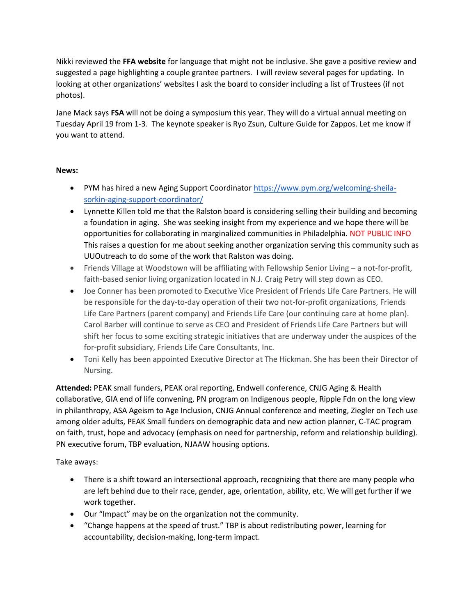Nikki reviewed the **FFA website** for language that might not be inclusive. She gave a positive review and suggested a page highlighting a couple grantee partners. I will review several pages for updating. In looking at other organizations' websites I ask the board to consider including a list of Trustees (if not photos).

Jane Mack says **FSA** will not be doing a symposium this year. They will do a virtual annual meeting on Tuesday April 19 from 1-3. The keynote speaker is Ryo Zsun, Culture Guide for Zappos. Let me know if you want to attend.

## **News:**

- PYM has hired a new Aging Support Coordinator [https://www.pym.org/welcoming-sheila](https://www.pym.org/welcoming-sheila-sorkin-aging-support-coordinator/)[sorkin-aging-support-coordinator/](https://www.pym.org/welcoming-sheila-sorkin-aging-support-coordinator/)
- Lynnette Killen told me that the Ralston board is considering selling their building and becoming a foundation in aging. She was seeking insight from my experience and we hope there will be opportunities for collaborating in marginalized communities in Philadelphia. NOT PUBLIC INFO This raises a question for me about seeking another organization serving this community such as UUOutreach to do some of the work that Ralston was doing.
- Friends Village at Woodstown will be affiliating with Fellowship Senior Living a not-for-profit, faith-based senior living organization located in N.J. Craig Petry will step down as CEO.
- Joe Conner has been promoted to Executive Vice President of Friends Life Care Partners. He will be responsible for the day-to-day operation of their two not-for-profit organizations, Friends Life Care Partners (parent company) and Friends Life Care (our continuing care at home plan). Carol Barber will continue to serve as CEO and President of Friends Life Care Partners but will shift her focus to some exciting strategic initiatives that are underway under the auspices of the for-profit subsidiary, Friends Life Care Consultants, Inc.
- Toni Kelly has been appointed Executive Director at The Hickman. She has been their Director of Nursing.

**Attended:** PEAK small funders, PEAK oral reporting, Endwell conference, CNJG Aging & Health collaborative, GIA end of life convening, PN program on Indigenous people, Ripple Fdn on the long view in philanthropy, ASA Ageism to Age Inclusion, CNJG Annual conference and meeting, Ziegler on Tech use among older adults, PEAK Small funders on demographic data and new action planner, C-TAC program on faith, trust, hope and advocacy (emphasis on need for partnership, reform and relationship building). PN executive forum, TBP evaluation, NJAAW housing options.

Take aways:

- There is a shift toward an intersectional approach, recognizing that there are many people who are left behind due to their race, gender, age, orientation, ability, etc. We will get further if we work together.
- Our "Impact" may be on the organization not the community.
- "Change happens at the speed of trust." TBP is about redistributing power, learning for accountability, decision-making, long-term impact.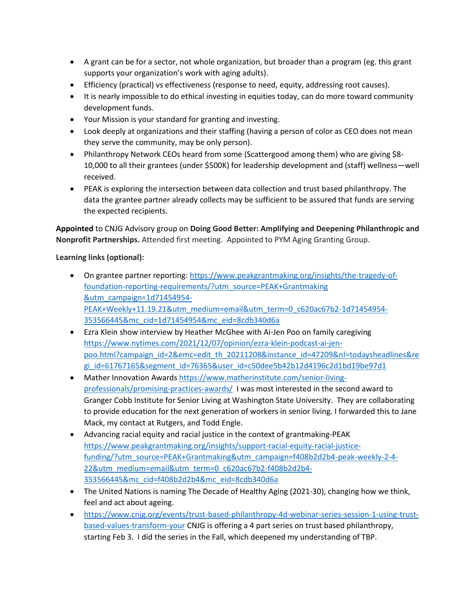- A grant can be for a sector, not whole organization, but broader than a program (eg. this grant supports your organization's work with aging adults).
- Efficiency (practical) vs effectiveness (response to need, equity, addressing root causes).
- It is nearly impossible to do ethical investing in equities today, can do more toward community development funds.
- Your Mission is your standard for granting and investing.
- Look deeply at organizations and their staffing (having a person of color as CEO does not mean they serve the community, may be only person).
- Philanthropy Network CEOs heard from some (Scattergood among them) who are giving \$8- 10,000 to all their grantees (under \$500K) for leadership development and (staff) wellness—well received.
- PEAK is exploring the intersection between data collection and trust based philanthropy. The data the grantee partner already collects may be sufficient to be assured that funds are serving the expected recipients.

**Appointed** to CNJG Advisory group on **Doing Good Better: Amplifying and Deepening Philanthropic and Nonprofit Partnerships.** Attended first meeting. Appointed to PYM Aging Granting Group.

**Learning links (optional):** 

- On grantee partner reporting: [https://www.peakgrantmaking.org/insights/the-tragedy-of](https://www.peakgrantmaking.org/insights/the-tragedy-of-foundation-reporting-requirements/?utm_source=PEAK+Grantmaking%20&utm_campaign=1d71454954-PEAK+Weekly+11.19.21&utm_medium=email&utm_term=0_c620ac67b2-1d71454954-353566445&mc_cid=1d71454954&mc_eid=8cdb340d6a)[foundation-reporting-requirements/?utm\\_source=PEAK+Grantmaking](https://www.peakgrantmaking.org/insights/the-tragedy-of-foundation-reporting-requirements/?utm_source=PEAK+Grantmaking%20&utm_campaign=1d71454954-PEAK+Weekly+11.19.21&utm_medium=email&utm_term=0_c620ac67b2-1d71454954-353566445&mc_cid=1d71454954&mc_eid=8cdb340d6a)  [&utm\\_campaign=1d71454954-](https://www.peakgrantmaking.org/insights/the-tragedy-of-foundation-reporting-requirements/?utm_source=PEAK+Grantmaking%20&utm_campaign=1d71454954-PEAK+Weekly+11.19.21&utm_medium=email&utm_term=0_c620ac67b2-1d71454954-353566445&mc_cid=1d71454954&mc_eid=8cdb340d6a) [PEAK+Weekly+11.19.21&utm\\_medium=email&utm\\_term=0\\_c620ac67b2-1d71454954-](https://www.peakgrantmaking.org/insights/the-tragedy-of-foundation-reporting-requirements/?utm_source=PEAK+Grantmaking%20&utm_campaign=1d71454954-PEAK+Weekly+11.19.21&utm_medium=email&utm_term=0_c620ac67b2-1d71454954-353566445&mc_cid=1d71454954&mc_eid=8cdb340d6a) [353566445&mc\\_cid=1d71454954&mc\\_eid=8cdb340d6a](https://www.peakgrantmaking.org/insights/the-tragedy-of-foundation-reporting-requirements/?utm_source=PEAK+Grantmaking%20&utm_campaign=1d71454954-PEAK+Weekly+11.19.21&utm_medium=email&utm_term=0_c620ac67b2-1d71454954-353566445&mc_cid=1d71454954&mc_eid=8cdb340d6a)
- Ezra Klein show interview by Heather McGhee with Ai-Jen Poo on family caregiving [https://www.nytimes.com/2021/12/07/opinion/ezra-klein-podcast-ai-jen](https://www.nytimes.com/2021/12/07/opinion/ezra-klein-podcast-ai-jen-poo.html?campaign_id=2&emc=edit_th_20211208&instance_id=47209&nl=todaysheadlines®i_id=61767165&segment_id=76365&user_id=c50dee5b42b12d4196c2d1bd19be97d1)[poo.html?campaign\\_id=2&emc=edit\\_th\\_20211208&instance\\_id=47209&nl=todaysheadlines&re](https://www.nytimes.com/2021/12/07/opinion/ezra-klein-podcast-ai-jen-poo.html?campaign_id=2&emc=edit_th_20211208&instance_id=47209&nl=todaysheadlines®i_id=61767165&segment_id=76365&user_id=c50dee5b42b12d4196c2d1bd19be97d1) [gi\\_id=61767165&segment\\_id=76365&user\\_id=c50dee5b42b12d4196c2d1bd19be97d1](https://www.nytimes.com/2021/12/07/opinion/ezra-klein-podcast-ai-jen-poo.html?campaign_id=2&emc=edit_th_20211208&instance_id=47209&nl=todaysheadlines®i_id=61767165&segment_id=76365&user_id=c50dee5b42b12d4196c2d1bd19be97d1)
- Mather Innovation Award[s https://www.matherinstitute.com/senior-living](https://www.matherinstitute.com/senior-living-professionals/promising-practices-awards/)[professionals/promising-practices-awards/](https://www.matherinstitute.com/senior-living-professionals/promising-practices-awards/) I was most interested in the second award to Granger Cobb Institute for Senior Living at Washington State University. They are collaborating to provide education for the next generation of workers in senior living. I forwarded this to Jane Mack, my contact at Rutgers, and Todd Engle.
- Advancing racial equity and racial justice in the context of grantmaking-PEAK [https://www.peakgrantmaking.org/insights/support-racial-equity-racial-justice](https://www.peakgrantmaking.org/insights/support-racial-equity-racial-justice-funding/?utm_source=PEAK+Grantmaking&utm_campaign=f408b2d2b4-peak-weekly-2-4-22&utm_medium=email&utm_term=0_c620ac67b2-f408b2d2b4-353566445&mc_cid=f408b2d2b4&mc_eid=8cdb340d6a)[funding/?utm\\_source=PEAK+Grantmaking&utm\\_campaign=f408b2d2b4-peak-weekly-2-4-](https://www.peakgrantmaking.org/insights/support-racial-equity-racial-justice-funding/?utm_source=PEAK+Grantmaking&utm_campaign=f408b2d2b4-peak-weekly-2-4-22&utm_medium=email&utm_term=0_c620ac67b2-f408b2d2b4-353566445&mc_cid=f408b2d2b4&mc_eid=8cdb340d6a) [22&utm\\_medium=email&utm\\_term=0\\_c620ac67b2-f408b2d2b4-](https://www.peakgrantmaking.org/insights/support-racial-equity-racial-justice-funding/?utm_source=PEAK+Grantmaking&utm_campaign=f408b2d2b4-peak-weekly-2-4-22&utm_medium=email&utm_term=0_c620ac67b2-f408b2d2b4-353566445&mc_cid=f408b2d2b4&mc_eid=8cdb340d6a) [353566445&mc\\_cid=f408b2d2b4&mc\\_eid=8cdb340d6a](https://www.peakgrantmaking.org/insights/support-racial-equity-racial-justice-funding/?utm_source=PEAK+Grantmaking&utm_campaign=f408b2d2b4-peak-weekly-2-4-22&utm_medium=email&utm_term=0_c620ac67b2-f408b2d2b4-353566445&mc_cid=f408b2d2b4&mc_eid=8cdb340d6a)
- The United Nations is naming The Decade of Healthy Aging (2021-30), changing how we think, feel and act about ageing.
- [https://www.cnjg.org/events/trust-based-philanthropy-4d-webinar-series-session-1-using-trust](https://www.cnjg.org/events/trust-based-philanthropy-4d-webinar-series-session-1-using-trust-based-values-transform-your)[based-values-transform-your](https://www.cnjg.org/events/trust-based-philanthropy-4d-webinar-series-session-1-using-trust-based-values-transform-your) CNJG is offering a 4 part series on trust based philanthropy, starting Feb 3. I did the series in the Fall, which deepened my understanding of TBP.